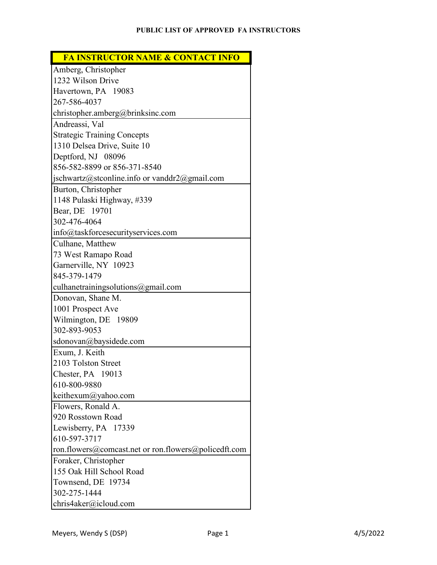**FA INSTRUCTOR NAME & CONTACT INFO**

| Amberg, Christopher                                  |
|------------------------------------------------------|
| 1232 Wilson Drive                                    |
| Havertown, PA 19083                                  |
| 267-586-4037                                         |
| christopher.amberg@brinksinc.com                     |
| Andreassi, Val                                       |
| <b>Strategic Training Concepts</b>                   |
| 1310 Delsea Drive, Suite 10                          |
| Deptford, NJ 08096                                   |
| 856-582-8899 or 856-371-8540                         |
| jschwartz@stconline.info or vanddr2@gmail.com        |
| Burton, Christopher                                  |
| 1148 Pulaski Highway, #339                           |
| Bear, DE 19701                                       |
| 302-476-4064                                         |
| info@taskforcesecurityservices.com                   |
| Culhane, Matthew                                     |
| 73 West Ramapo Road                                  |
| Garnerville, NY 10923                                |
| 845-379-1479                                         |
| culhanetrainingsolutions@gmail.com                   |
| Donovan, Shane M.                                    |
| 1001 Prospect Ave                                    |
| Wilmington, DE 19809                                 |
| 302-893-9053                                         |
| sdonovan@baysidede.com                               |
| Exum, J. Keith                                       |
| 2103 Tolston Street                                  |
| Chester, PA 19013                                    |
| 610-800-9880                                         |
| keithexum@yahoo.com                                  |
| Flowers, Ronald A.                                   |
| 920 Rosstown Road                                    |
| Lewisberry, PA 17339                                 |
| 610-597-3717                                         |
| ron.flowers@comcast.net or ron.flowers@policedft.com |
| Foraker, Christopher                                 |
| 155 Oak Hill School Road                             |
| Townsend, DE 19734                                   |
| 302-275-1444                                         |
| chris4aker@icloud.com                                |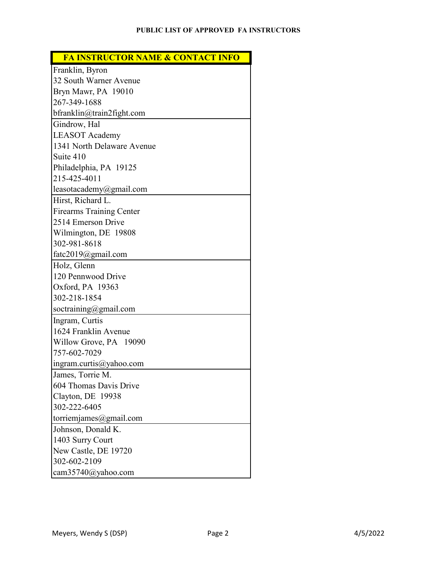| <b>FA INSTRUCTOR NAME &amp; CONTACT INFO</b> |  |  |
|----------------------------------------------|--|--|
|----------------------------------------------|--|--|

| Franklin, Byron                 |
|---------------------------------|
| 32 South Warner Avenue          |
| Bryn Mawr, PA 19010             |
| 267-349-1688                    |
| bfranklin@train2fight.com       |
| Gindrow, Hal                    |
| <b>LEASOT</b> Academy           |
| 1341 North Delaware Avenue      |
| Suite 410                       |
| Philadelphia, PA 19125          |
| 215-425-4011                    |
| leasotacademy@gmail.com         |
| Hirst, Richard L.               |
| <b>Firearms Training Center</b> |
| 2514 Emerson Drive              |
| Wilmington, DE 19808            |
| 302-981-8618                    |
| fatc2019@gmail.com              |
| Holz, Glenn                     |
| 120 Pennwood Drive              |
| Oxford, PA 19363                |
| 302-218-1854                    |
| soctraining@gmail.com           |
| Ingram, Curtis                  |
| 1624 Franklin Avenue            |
| Willow Grove, PA 19090          |
| 757-602-7029                    |
| ingram.curtis@yahoo.com         |
| James, Torrie M.                |
| 604 Thomas Davis Drive          |
| Clayton, DE 19938               |
| 302-222-6405                    |
| torriemjames@gmail.com          |
| Johnson, Donald K.              |
| 1403 Surry Court                |
| New Castle, DE 19720            |
| 302-602-2109                    |
| cam35740@yahoo.com              |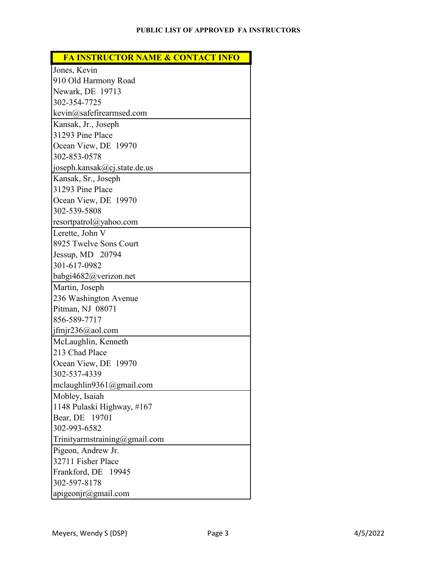## **FA INSTRUCTOR NAME & CONTACT INFO**

| Jones, Kevin                        |
|-------------------------------------|
| 910 Old Harmony Road                |
| Newark, DE 19713                    |
| 302-354-7725                        |
| kevin@safefirearmsed.com            |
| Kansak, Jr., Joseph                 |
| 31293 Pine Place                    |
| Ocean View, DE 19970                |
| 302-853-0578                        |
| joseph.kansak@cj.state.de.us        |
| Kansak, Sr., Joseph                 |
| 31293 Pine Place                    |
| Ocean View, DE 19970                |
| 302-539-5808                        |
| resortpatrol@yahoo.com              |
| Lerette, John V                     |
| 8925 Twelve Sons Court              |
| Jessup, MD 20794                    |
| 301-617-0982                        |
| babgi4682@verizon.net               |
|                                     |
| Martin, Joseph                      |
| 236 Washington Avenue               |
| Pitman, NJ 08071                    |
| 856-589-7717                        |
| $j$ fmjr236@aol.com                 |
| McLaughlin, Kenneth                 |
| 213 Chad Place                      |
| Ocean View, DE 19970                |
| 302-537-4339                        |
| mclaughlin9361@gmail.com            |
| Mobley, Isaiah                      |
| 1148 Pulaski Highway, #167          |
| Bear, DE 19701                      |
| 302-993-6582                        |
| Trinityarmstraining@gmail.com       |
| Pigeon, Andrew Jr.                  |
| 32711 Fisher Place                  |
| Frankford, DE 19945                 |
| 302-597-8178<br>apigeonjr@gmail.com |